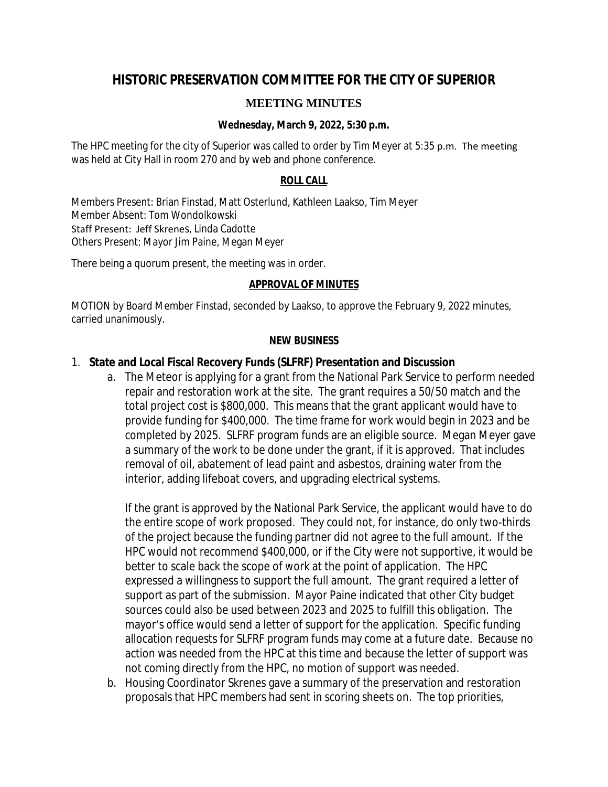# **HISTORIC PRESERVATION COMMITTEE FOR THE CITY OF SUPERIOR**

## **MEETING MINUTES**

### **Wednesday, March 9, 2022, 5:30 p.m.**

The HPC meeting for the city of Superior was called to order by Tim Meyer at 5:35 p.m. The meeting was held at City Hall in room 270 and by web and phone conference.

#### **ROLL CALL**

Members Present: Brian Finstad, Matt Osterlund, Kathleen Laakso, Tim Meyer Member Absent: Tom Wondolkowski Staff Present: Jeff Skrenes, Linda Cadotte Others Present: Mayor Jim Paine, Megan Meyer

There being a quorum present, the meeting was in order.

#### **APPROVAL OF MINUTES**

MOTION by Board Member Finstad, seconded by Laakso, to approve the February 9, 2022 minutes, carried unanimously.

#### **NEW BUSINESS**

### 1. **State and Local Fiscal Recovery Funds (SLFRF) Presentation and Discussion**

a. The Meteor is applying for a grant from the National Park Service to perform needed repair and restoration work at the site. The grant requires a 50/50 match and the total project cost is \$800,000. This means that the grant applicant would have to provide funding for \$400,000. The time frame for work would begin in 2023 and be completed by 2025. SLFRF program funds are an eligible source. Megan Meyer gave a summary of the work to be done under the grant, if it is approved. That includes removal of oil, abatement of lead paint and asbestos, draining water from the interior, adding lifeboat covers, and upgrading electrical systems.

If the grant is approved by the National Park Service, the applicant would have to do the entire scope of work proposed. They could not, for instance, do only two-thirds of the project because the funding partner did not agree to the full amount. If the HPC would not recommend \$400,000, or if the City were not supportive, it would be better to scale back the scope of work at the point of application. The HPC expressed a willingness to support the full amount. The grant required a letter of support as part of the submission. Mayor Paine indicated that other City budget sources could also be used between 2023 and 2025 to fulfill this obligation. The mayor's office would send a letter of support for the application. Specific funding allocation requests for SLFRF program funds may come at a future date. Because no action was needed from the HPC at this time and because the letter of support was not coming directly from the HPC, no motion of support was needed.

b. Housing Coordinator Skrenes gave a summary of the preservation and restoration proposals that HPC members had sent in scoring sheets on. The top priorities,